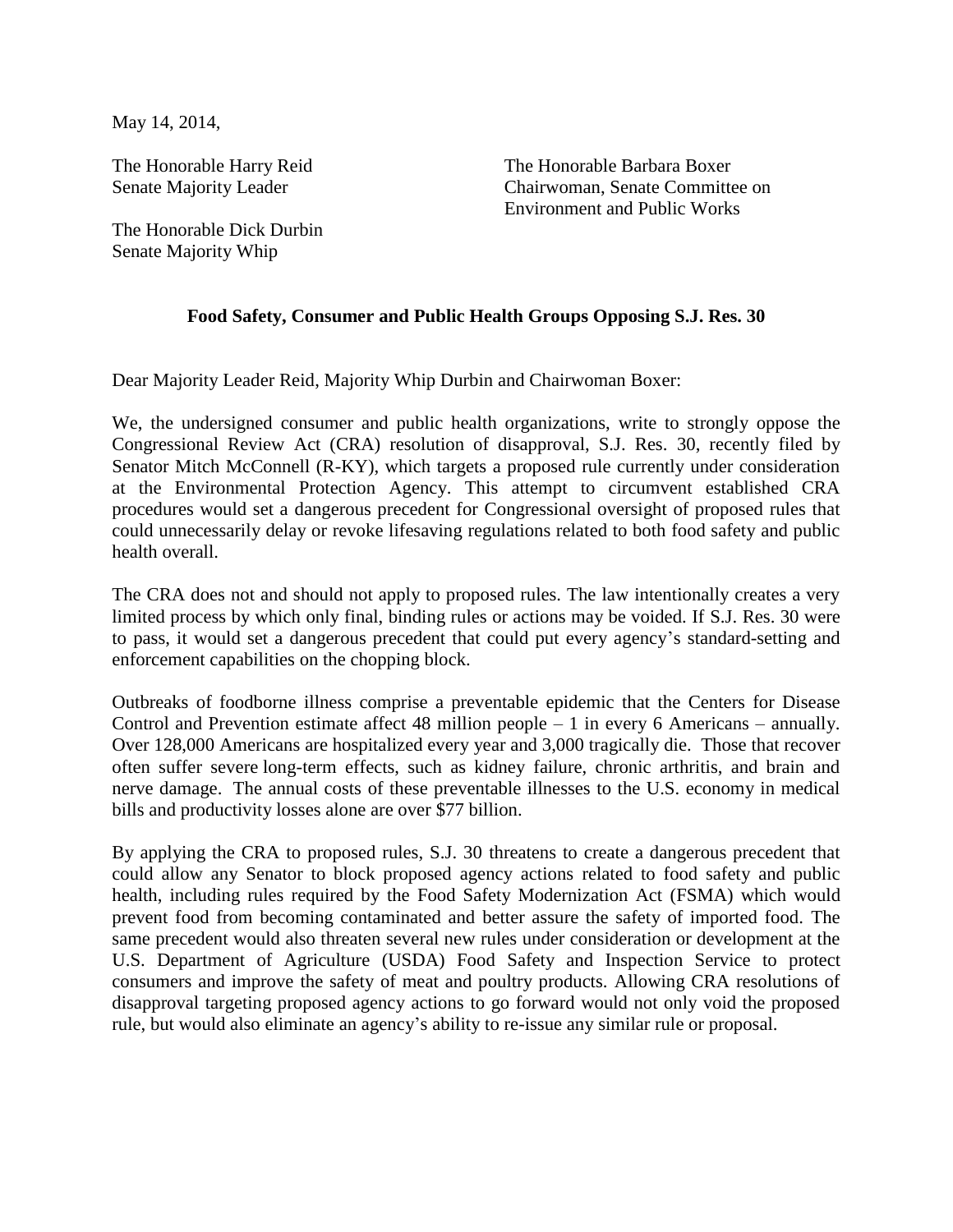May 14, 2014,

The Honorable Harry Reid Senate Majority Leader

The Honorable Dick Durbin Senate Majority Whip

The Honorable Barbara Boxer Chairwoman, Senate Committee on Environment and Public Works

## **Food Safety, Consumer and Public Health Groups Opposing S.J. Res. 30**

Dear Majority Leader Reid, Majority Whip Durbin and Chairwoman Boxer:

We, the undersigned consumer and public health organizations, write to strongly oppose the Congressional Review Act (CRA) resolution of disapproval, S.J. Res. 30, recently filed by Senator Mitch McConnell (R-KY), which targets a proposed rule currently under consideration at the Environmental Protection Agency. This attempt to circumvent established CRA procedures would set a dangerous precedent for Congressional oversight of proposed rules that could unnecessarily delay or revoke lifesaving regulations related to both food safety and public health overall.

The CRA does not and should not apply to proposed rules. The law intentionally creates a very limited process by which only final, binding rules or actions may be voided. If S.J. Res. 30 were to pass, it would set a dangerous precedent that could put every agency's standard-setting and enforcement capabilities on the chopping block.

Outbreaks of foodborne illness comprise a preventable epidemic that the Centers for Disease Control and Prevention estimate affect 48 million people – 1 in every 6 Americans – annually. Over 128,000 Americans are hospitalized every year and 3,000 tragically die. Those that recover often suffer severe long-term effects, such as kidney failure, chronic arthritis, and brain and nerve damage. The annual costs of these preventable illnesses to the U.S. economy in medical bills and productivity losses alone are over \$77 billion.

By applying the CRA to proposed rules, S.J. 30 threatens to create a dangerous precedent that could allow any Senator to block proposed agency actions related to food safety and public health, including rules required by the Food Safety Modernization Act (FSMA) which would prevent food from becoming contaminated and better assure the safety of imported food. The same precedent would also threaten several new rules under consideration or development at the U.S. Department of Agriculture (USDA) Food Safety and Inspection Service to protect consumers and improve the safety of meat and poultry products. Allowing CRA resolutions of disapproval targeting proposed agency actions to go forward would not only void the proposed rule, but would also eliminate an agency's ability to re-issue any similar rule or proposal.